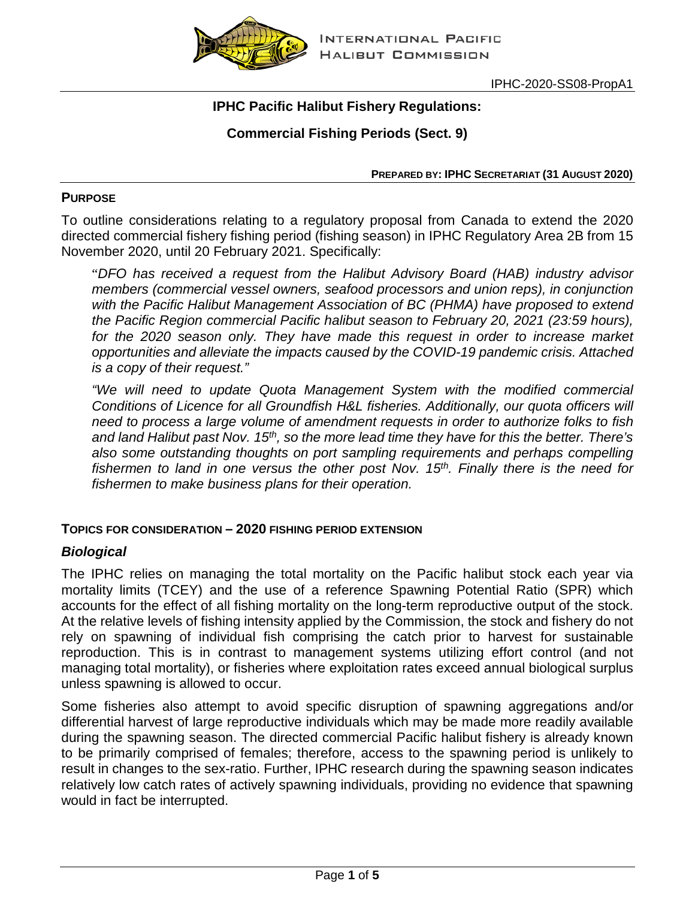

IPHC-2020-SS08-PropA1

# **IPHC Pacific Halibut Fishery Regulations:**

# **Commercial Fishing Periods (Sect. 9)**

**PREPARED BY: IPHC SECRETARIAT (31 AUGUST 2020)**

#### **PURPOSE**

To outline considerations relating to a regulatory proposal from Canada to extend the 2020 directed commercial fishery fishing period (fishing season) in IPHC Regulatory Area 2B from 15 November 2020, until 20 February 2021. Specifically:

"*DFO has received a request from the Halibut Advisory Board (HAB) industry advisor members (commercial vessel owners, seafood processors and union reps), in conjunction*  with the Pacific Halibut Management Association of BC (PHMA) have proposed to extend *the Pacific Region commercial Pacific halibut season to February 20, 2021 (23:59 hours),*  for the 2020 season only. They have made this request in order to increase market *opportunities and alleviate the impacts caused by the COVID-19 pandemic crisis. Attached is a copy of their request."*

*"We will need to update Quota Management System with the modified commercial Conditions of Licence for all Groundfish H&L fisheries. Additionally, our quota officers will need to process a large volume of amendment requests in order to authorize folks to fish and land Halibut past Nov. 15th, so the more lead time they have for this the better. There's*  also some outstanding thoughts on port sampling requirements and perhaps compelling *fishermen to land in one versus the other post Nov. 15th. Finally there is the need for fishermen to make business plans for their operation.*

### **TOPICS FOR CONSIDERATION – 2020 FISHING PERIOD EXTENSION**

### *Biological*

The IPHC relies on managing the total mortality on the Pacific halibut stock each year via mortality limits (TCEY) and the use of a reference Spawning Potential Ratio (SPR) which accounts for the effect of all fishing mortality on the long-term reproductive output of the stock. At the relative levels of fishing intensity applied by the Commission, the stock and fishery do not rely on spawning of individual fish comprising the catch prior to harvest for sustainable reproduction. This is in contrast to management systems utilizing effort control (and not managing total mortality), or fisheries where exploitation rates exceed annual biological surplus unless spawning is allowed to occur.

Some fisheries also attempt to avoid specific disruption of spawning aggregations and/or differential harvest of large reproductive individuals which may be made more readily available during the spawning season. The directed commercial Pacific halibut fishery is already known to be primarily comprised of females; therefore, access to the spawning period is unlikely to result in changes to the sex-ratio. Further, IPHC research during the spawning season indicates relatively low catch rates of actively spawning individuals, providing no evidence that spawning would in fact be interrupted.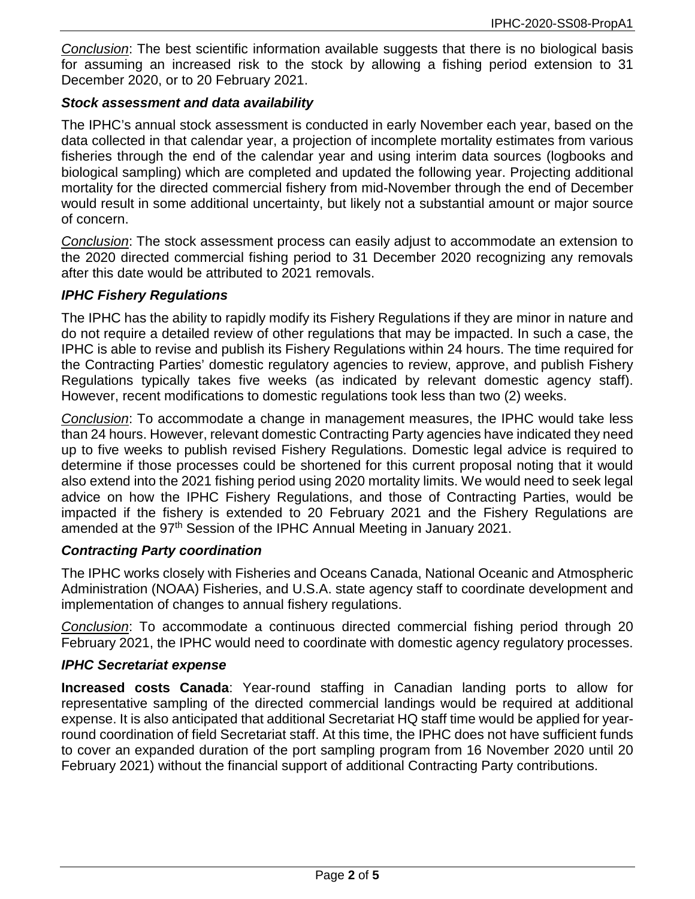*Conclusion*: The best scientific information available suggests that there is no biological basis for assuming an increased risk to the stock by allowing a fishing period extension to 31 December 2020, or to 20 February 2021.

### *Stock assessment and data availability*

The IPHC's annual stock assessment is conducted in early November each year, based on the data collected in that calendar year, a projection of incomplete mortality estimates from various fisheries through the end of the calendar year and using interim data sources (logbooks and biological sampling) which are completed and updated the following year. Projecting additional mortality for the directed commercial fishery from mid-November through the end of December would result in some additional uncertainty, but likely not a substantial amount or major source of concern.

*Conclusion*: The stock assessment process can easily adjust to accommodate an extension to the 2020 directed commercial fishing period to 31 December 2020 recognizing any removals after this date would be attributed to 2021 removals.

### *IPHC Fishery Regulations*

The IPHC has the ability to rapidly modify its Fishery Regulations if they are minor in nature and do not require a detailed review of other regulations that may be impacted. In such a case, the IPHC is able to revise and publish its Fishery Regulations within 24 hours. The time required for the Contracting Parties' domestic regulatory agencies to review, approve, and publish Fishery Regulations typically takes five weeks (as indicated by relevant domestic agency staff). However, recent modifications to domestic regulations took less than two (2) weeks.

*Conclusion*: To accommodate a change in management measures, the IPHC would take less than 24 hours. However, relevant domestic Contracting Party agencies have indicated they need up to five weeks to publish revised Fishery Regulations. Domestic legal advice is required to determine if those processes could be shortened for this current proposal noting that it would also extend into the 2021 fishing period using 2020 mortality limits. We would need to seek legal advice on how the IPHC Fishery Regulations, and those of Contracting Parties, would be impacted if the fishery is extended to 20 February 2021 and the Fishery Regulations are amended at the 97<sup>th</sup> Session of the IPHC Annual Meeting in January 2021.

### *Contracting Party coordination*

The IPHC works closely with Fisheries and Oceans Canada, National Oceanic and Atmospheric Administration (NOAA) Fisheries, and U.S.A. state agency staff to coordinate development and implementation of changes to annual fishery regulations.

*Conclusion*: To accommodate a continuous directed commercial fishing period through 20 February 2021, the IPHC would need to coordinate with domestic agency regulatory processes.

## *IPHC Secretariat expense*

**Increased costs Canada**: Year-round staffing in Canadian landing ports to allow for representative sampling of the directed commercial landings would be required at additional expense. It is also anticipated that additional Secretariat HQ staff time would be applied for yearround coordination of field Secretariat staff. At this time, the IPHC does not have sufficient funds to cover an expanded duration of the port sampling program from 16 November 2020 until 20 February 2021) without the financial support of additional Contracting Party contributions.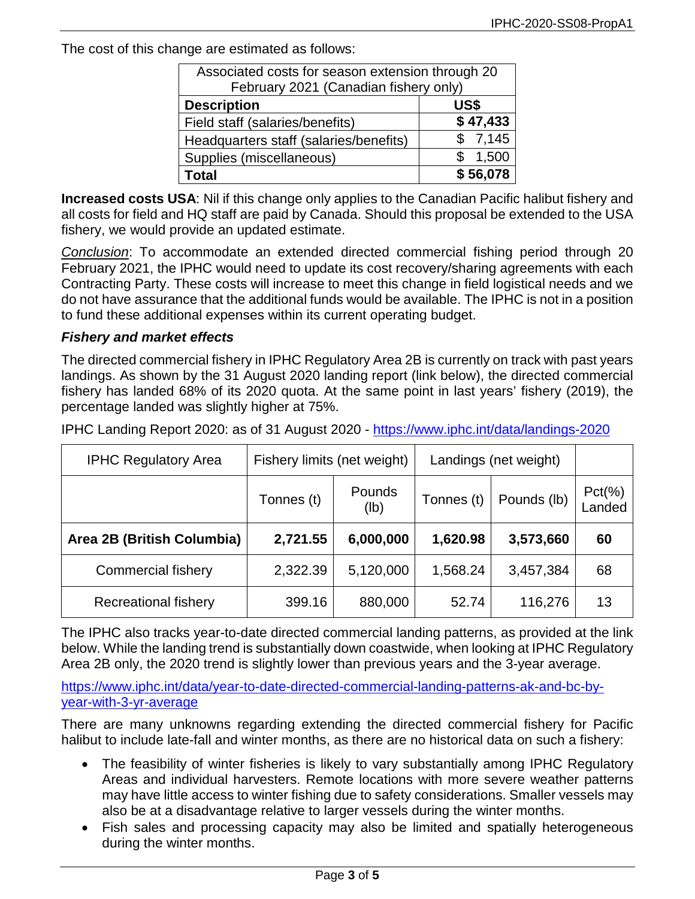The cost of this change are estimated as follows:

| Associated costs for season extension through 20<br>February 2021 (Canadian fishery only) |          |  |  |  |
|-------------------------------------------------------------------------------------------|----------|--|--|--|
| <b>Description</b><br>US\$                                                                |          |  |  |  |
| Field staff (salaries/benefits)                                                           | \$47,433 |  |  |  |
| Headquarters staff (salaries/benefits)                                                    | \$7,145  |  |  |  |
| Supplies (miscellaneous)                                                                  | 1,500    |  |  |  |
| Total                                                                                     | \$56,078 |  |  |  |

**Increased costs USA**: Nil if this change only applies to the Canadian Pacific halibut fishery and all costs for field and HQ staff are paid by Canada. Should this proposal be extended to the USA fishery, we would provide an updated estimate.

*Conclusion*: To accommodate an extended directed commercial fishing period through 20 February 2021, the IPHC would need to update its cost recovery/sharing agreements with each Contracting Party. These costs will increase to meet this change in field logistical needs and we do not have assurance that the additional funds would be available. The IPHC is not in a position to fund these additional expenses within its current operating budget.

### *Fishery and market effects*

The directed commercial fishery in IPHC Regulatory Area 2B is currently on track with past years landings. As shown by the 31 August 2020 landing report (link below), the directed commercial fishery has landed 68% of its 2020 quota. At the same point in last years' fishery (2019), the percentage landed was slightly higher at 75%.

IPHC Landing Report 2020: as of 31 August 2020 - <https://www.iphc.int/data/landings-2020>

| <b>IPHC Regulatory Area</b> | Fishery limits (net weight) |                | Landings (net weight) |             |                      |
|-----------------------------|-----------------------------|----------------|-----------------------|-------------|----------------------|
|                             | Tonnes (t)                  | Pounds<br>(lb) | Tonnes (t)            | Pounds (lb) | $Pct(\% )$<br>Landed |
| Area 2B (British Columbia)  | 2,721.55                    | 6,000,000      | 1,620.98              | 3,573,660   | 60                   |
| <b>Commercial fishery</b>   | 2,322.39                    | 5,120,000      | 1,568.24              | 3,457,384   | 68                   |
| <b>Recreational fishery</b> | 399.16                      | 880,000        | 52.74                 | 116,276     | 13                   |

The IPHC also tracks year-to-date directed commercial landing patterns, as provided at the link below. While the landing trend is substantially down coastwide, when looking at IPHC Regulatory Area 2B only, the 2020 trend is slightly lower than previous years and the 3-year average.

[https://www.iphc.int/data/year-to-date-directed-commercial-landing-patterns-ak-and-bc-by](https://www.iphc.int/data/year-to-date-directed-commercial-landing-patterns-ak-and-bc-by-year-with-3-yr-average)[year-with-3-yr-average](https://www.iphc.int/data/year-to-date-directed-commercial-landing-patterns-ak-and-bc-by-year-with-3-yr-average)

There are many unknowns regarding extending the directed commercial fishery for Pacific halibut to include late-fall and winter months, as there are no historical data on such a fishery:

- The feasibility of winter fisheries is likely to vary substantially among IPHC Regulatory Areas and individual harvesters. Remote locations with more severe weather patterns may have little access to winter fishing due to safety considerations. Smaller vessels may also be at a disadvantage relative to larger vessels during the winter months.
- Fish sales and processing capacity may also be limited and spatially heterogeneous during the winter months.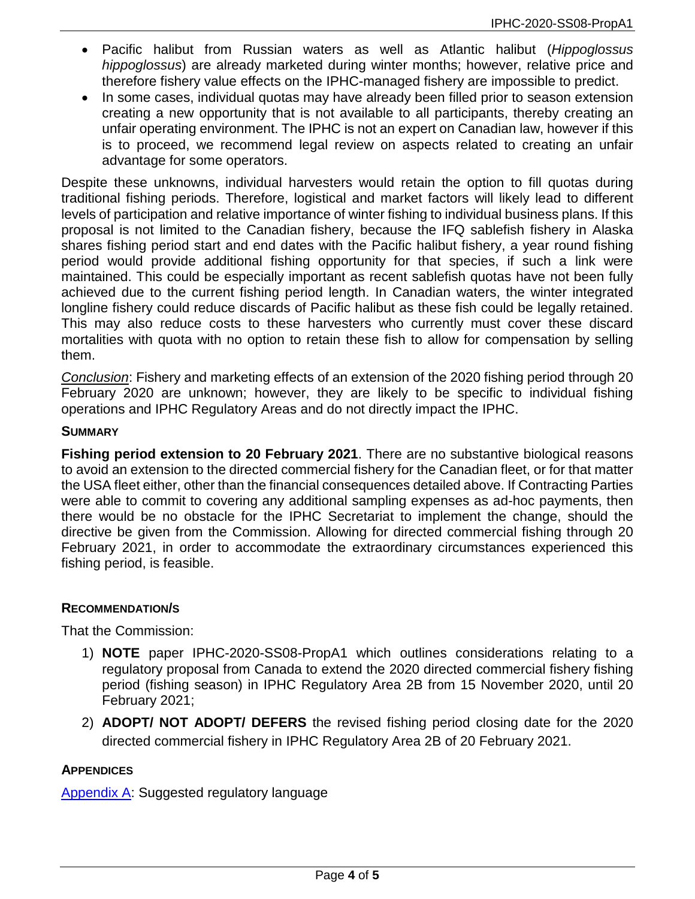- Pacific halibut from Russian waters as well as Atlantic halibut (*Hippoglossus hippoglossus*) are already marketed during winter months; however, relative price and therefore fishery value effects on the IPHC-managed fishery are impossible to predict.
- In some cases, individual quotas may have already been filled prior to season extension creating a new opportunity that is not available to all participants, thereby creating an unfair operating environment. The IPHC is not an expert on Canadian law, however if this is to proceed, we recommend legal review on aspects related to creating an unfair advantage for some operators.

Despite these unknowns, individual harvesters would retain the option to fill quotas during traditional fishing periods. Therefore, logistical and market factors will likely lead to different levels of participation and relative importance of winter fishing to individual business plans. If this proposal is not limited to the Canadian fishery, because the IFQ sablefish fishery in Alaska shares fishing period start and end dates with the Pacific halibut fishery, a year round fishing period would provide additional fishing opportunity for that species, if such a link were maintained. This could be especially important as recent sablefish quotas have not been fully achieved due to the current fishing period length. In Canadian waters, the winter integrated longline fishery could reduce discards of Pacific halibut as these fish could be legally retained. This may also reduce costs to these harvesters who currently must cover these discard mortalities with quota with no option to retain these fish to allow for compensation by selling them.

*Conclusion*: Fishery and marketing effects of an extension of the 2020 fishing period through 20 February 2020 are unknown; however, they are likely to be specific to individual fishing operations and IPHC Regulatory Areas and do not directly impact the IPHC.

### **SUMMARY**

**Fishing period extension to 20 February 2021**. There are no substantive biological reasons to avoid an extension to the directed commercial fishery for the Canadian fleet, or for that matter the USA fleet either, other than the financial consequences detailed above. If Contracting Parties were able to commit to covering any additional sampling expenses as ad-hoc payments, then there would be no obstacle for the IPHC Secretariat to implement the change, should the directive be given from the Commission. Allowing for directed commercial fishing through 20 February 2021, in order to accommodate the extraordinary circumstances experienced this fishing period, is feasible.

### **RECOMMENDATION/S**

That the Commission:

- 1) **NOTE** paper IPHC-2020-SS08-PropA1 which outlines considerations relating to a regulatory proposal from Canada to extend the 2020 directed commercial fishery fishing period (fishing season) in IPHC Regulatory Area 2B from 15 November 2020, until 20 February 2021;
- 2) **ADOPT/ NOT ADOPT/ DEFERS** the revised fishing period closing date for the 2020 directed commercial fishery in IPHC Regulatory Area 2B of 20 February 2021.

#### **APPENDICES**

[Appendix A:](#page-4-0) Suggested regulatory language